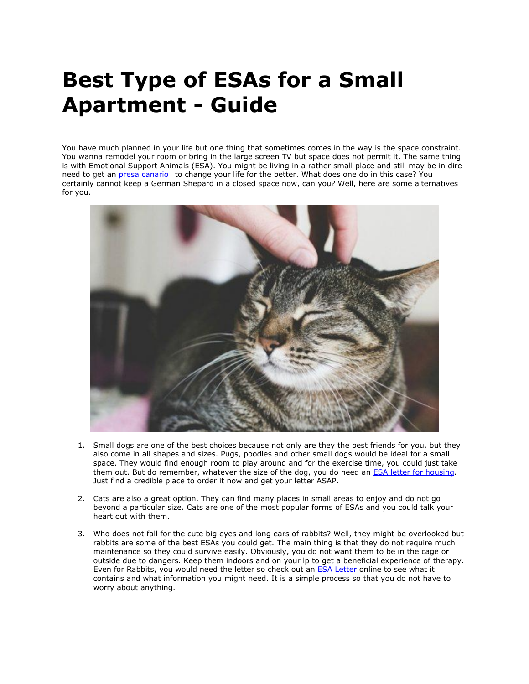## **Best Type of ESAs for a Small Apartment - Guide**

You have much planned in your life but one thing that sometimes comes in the way is the space constraint. You wanna remodel your room or bring in the large screen TV but space does not permit it. The same thing is with Emotional Support Animals (ESA). You might be living in a rather small place and still may be in dire need to get an *[presa canario](https://www.realesaletter.com/blog/dog-breeds/presa-canario)* to change your life for the better. What does one do in this case? You certainly cannot keep a German Shepard in a closed space now, can you? Well, here are some alternatives for you.



- 1. Small dogs are one of the best choices because not only are they the best friends for you, but they also come in all shapes and sizes. Pugs, poodles and other small dogs would be ideal for a small space. They would find enough room to play around and for the exercise time, you could just take them out. But do remember, whatever the size of the dog, you do need an [ESA letter for housing.](https://www.realesaletter.com/sample-esa-letter) Just find a credible place to order it now and get your letter ASAP.
- 2. Cats are also a great option. They can find many places in small areas to enjoy and do not go beyond a particular size. Cats are one of the most popular forms of ESAs and you could talk your heart out with them.
- 3. Who does not fall for the cute big eyes and long ears of rabbits? Well, they might be overlooked but rabbits are some of the best ESAs you could get. The main thing is that they do not require much maintenance so they could survive easily. Obviously, you do not want them to be in the cage or outside due to dangers. Keep them indoors and on your lp to get a beneficial experience of therapy. Even for Rabbits, you would need the letter so check out an [ESA Letter](https://www.realesaletter.com/sample-esa-letter) online to see what it contains and what information you might need. It is a simple process so that you do not have to worry about anything.